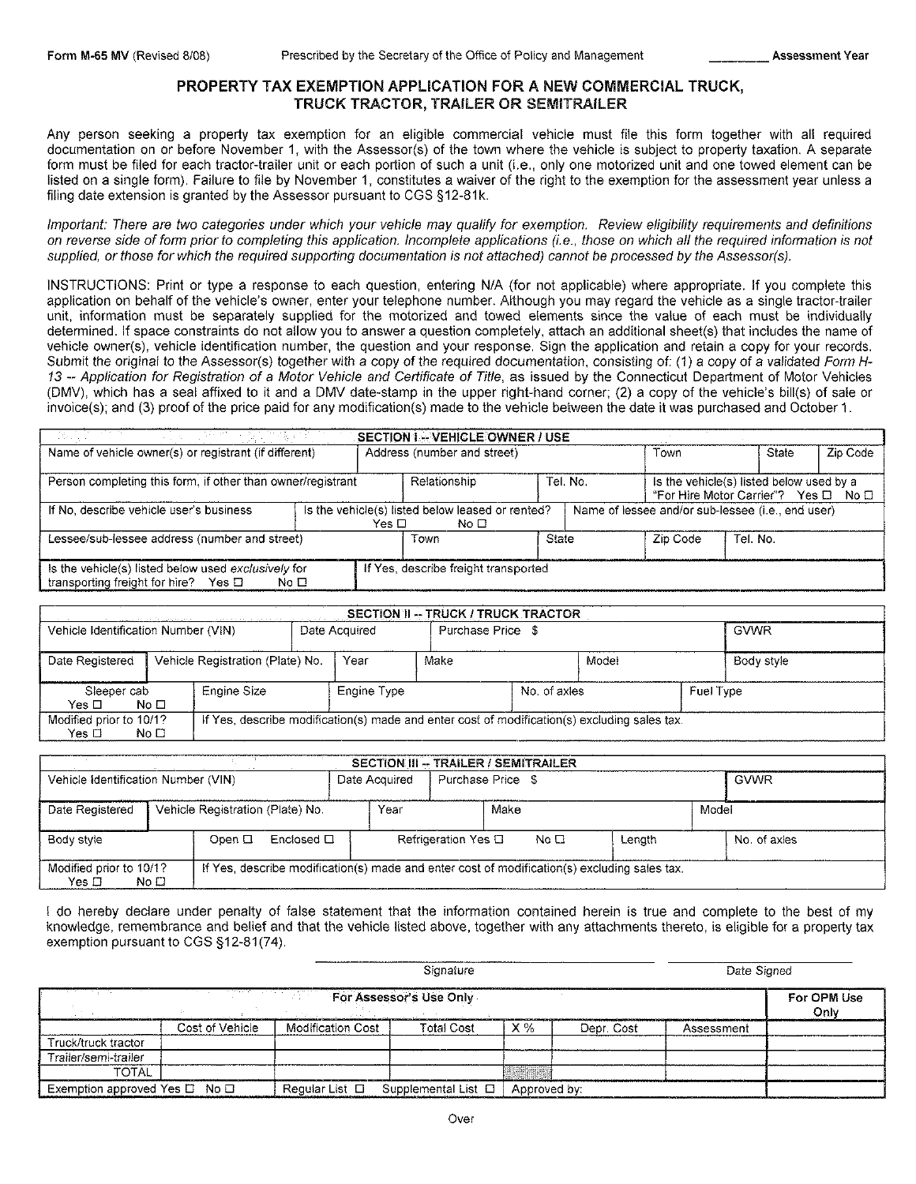# PROPERTY TAX EXEMPTION APPLICATION FOR A NEW COMMERCIAL TRUCK, TRUCK TRACTOR, TRAILER OR SEMITRAILER

Any person seeking a property tax exemption for an eligible commercial vehicle must file this form together with all required documentation on or before November 1, with the Assessor(s) of the town where the vehicle is subject to property taxation. A separate form must be filed for each tractor-trailer unit or each portion of such a unit (i.e., only one motorized unit and one towed element can be listed on a single form). Failure to file by November 1, constitutes a waiver of the right to the exemption for the assessment year unless a filing date extension is granted by the Assessor pursuant to CGS §12-81k.

Important: There are two categories under which your vehicle may qualify for exemption. Review eligibility requirements and definitions on reverse side of fonm prior to completing this application. Incomplete applications (i. e., those on which all the required infonmation is not supplied, or those for which the required supporting documentation is not attached) cannot be processed by the Assessor(s).

INSTRUCTIONS: Print or type a response to each question, entering NIA (for not applicable) where appropriate. If you complete this application on behalf of the vehicle's owner, enter your telephone number. Although you may regard the vehicle as a single tractor-trailer unit, information must be separately supplied for the motorized and towed elements since the value of each must be individually determined. If space constraints do not allow you to answer a question completely, attach an additional sheet(s) that includes the name of vehicle owner(s), vehicle identification number, the question and your response. Sign the application and retain a copy for your records. Submit the original to the Assessor(s) together with a copy of the required documentation, consisting of: (1) a copy of a validated Form H-13 -- Application for Registration of a Motor Vehicle and Cerlificate of Title, as issued by the Connecticut Department of Motor Vehicles (DMV), which has a seal affixed to it and a DMV date-stamp in the upper right-hand corner; (2) a copy of the vehicle's bill(s) of sale or invoice(s); and (3) proof of the price paid for any modification(s) made to the vehicle between the date it was purchased and October 1.

| ing a shi ne shekarar ta 19<br>the control of the control of the control of the control of the control of the control of the control of the control of the control of the con-<br><b>SECTION I -- VEHICLE OWNER / USE</b> |       |                                                          |  |                                                                                              |  |       |          |  |  |  |
|---------------------------------------------------------------------------------------------------------------------------------------------------------------------------------------------------------------------------|-------|----------------------------------------------------------|--|----------------------------------------------------------------------------------------------|--|-------|----------|--|--|--|
| Name of vehicle owner(s) or registrant (if different)                                                                                                                                                                     |       | Address (number and street)                              |  | Town                                                                                         |  | State | Zip Code |  |  |  |
| Person completing this form, if other than owner/registrant                                                                                                                                                               |       | Relationship                                             |  | Tel. No.<br>Is the vehicle(s) listed below used by a<br>"For Hire Motor Carrier"? Yes □ No □ |  |       |          |  |  |  |
| If No, describe vehicle user's business                                                                                                                                                                                   | Yes □ | Is the vehicle(s) listed below leased or rented?<br>No ⊟ |  | Name of lessee and/or sub-lessee (i.e., end user)                                            |  |       |          |  |  |  |
| Lessee/sub-lessee address (number and street)                                                                                                                                                                             |       | State<br>Zip Code<br>Tel. No.<br>Town                    |  |                                                                                              |  |       |          |  |  |  |
| Is the vehicle(s) listed below used exclusively for<br>transporting freight for hire?<br>Yes ⊡<br>No $\square$                                                                                                            |       | If Yes, describe freight transported                     |  |                                                                                              |  |       |          |  |  |  |

| SECTION II -- TRUCK / TRUCK TRACTOR<br>والوعاد فالأنبان والداريات المتحالة والمتعارف والمتحدث والمواطن المتحدث والمتواطن والمتحدث والمتناول المتناول |      |                                                                                              |  |                   |      |              |       |             |            |  |
|------------------------------------------------------------------------------------------------------------------------------------------------------|------|----------------------------------------------------------------------------------------------|--|-------------------|------|--------------|-------|-------------|------------|--|
| Vehicle Identification Number (VIN)<br>Date Acquired                                                                                                 |      |                                                                                              |  | Purchase Price \$ |      |              |       | <b>GVWR</b> |            |  |
| Date Registered                                                                                                                                      |      | Vehicle Registration (Plate) No.                                                             |  | Year              | Make |              | Model |             | Body style |  |
| Sleeper cab<br>Yes □                                                                                                                                 | No □ | Engine Size                                                                                  |  | Engine Type       |      | No. of axles |       | Fuel Type   |            |  |
| Modified prior to 10/1?<br>Yes $\square$                                                                                                             | No ⊡ | If Yes, describe modification(s) made and enter cost of modification(s) excluding sales tax. |  |                   |      |              |       |             |            |  |

| <b>SECTION III -- TRAILER / SEMITRAILER</b> |                 |                                  |            |                   |      |                     |      |                                                                                              |       |              |  |
|---------------------------------------------|-----------------|----------------------------------|------------|-------------------|------|---------------------|------|----------------------------------------------------------------------------------------------|-------|--------------|--|
| Vehicle Identification Number (VIN)         |                 | Date Acquired                    |            | Purchase Price \$ |      |                     |      |                                                                                              |       |              |  |
| Date Registered                             |                 | Vehicle Registration (Plate) No. |            |                   | Year | Make                |      |                                                                                              | Model |              |  |
| Body style                                  |                 | Open $\Box$                      | Enclosed □ |                   |      | Refrigeration Yes □ | No □ | Lenath                                                                                       |       | No. of axles |  |
| Modified prior to 10/1?<br>$Yes$ $\Box$     | No <sub>1</sub> |                                  |            |                   |      |                     |      | If Yes, describe modification(s) made and enter cost of modification(s) excluding sales tax. |       |              |  |

I do hereby declare under penalty of false statement that the information contained herein is true and complete to the best of my knowledge, remembrance and belief and that the vehicle listed above, together with any attachments thereto, is eligible for a property tax exemption pursuant to CGS §12-81(74).

|                                         |                 |                          | Date Signed              |              |            |            |  |  |  |
|-----------------------------------------|-----------------|--------------------------|--------------------------|--------------|------------|------------|--|--|--|
| For Assessor's Use Only                 |                 |                          |                          |              |            |            |  |  |  |
|                                         | Cost of Vehicle | <b>Modification Cost</b> | Total Cost               | $X\%$        | Depr. Cost | Assessment |  |  |  |
| Truck/truck tractor                     |                 |                          |                          |              |            |            |  |  |  |
| Trailer/semi-trailer                    |                 |                          |                          |              |            |            |  |  |  |
| <b>TOTAL</b>                            |                 |                          |                          |              |            |            |  |  |  |
| Exemption approved Yes $\Box$ No $\Box$ |                 | Regular List □           | Supplemental List $\Box$ | Approved by: |            |            |  |  |  |